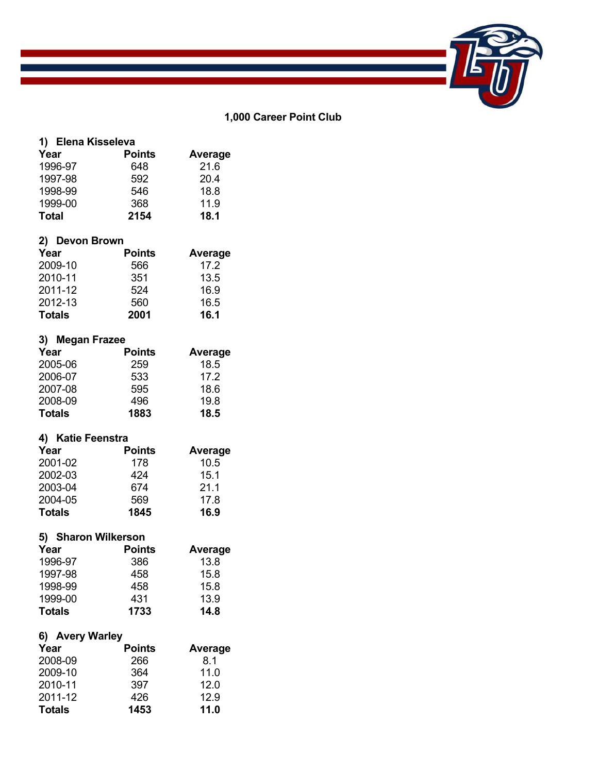

#### **1,000 Career Point Club**

| 1) Elena Kisseleva |               |         |
|--------------------|---------------|---------|
| Year               | <b>Points</b> | Average |
| 1996-97            | 648           | 21.6    |
| 1997-98            | 592           | 20.4    |
| 1998-99            | 546           | 18.8    |
| 1999-00            | 368           | 11.9    |
| Total              | 2154          | 18.1    |

#### **2) Devon Brown**

| Year          | <b>Points</b> | Average |
|---------------|---------------|---------|
| 2009-10       | 566           | 17.2    |
| 2010-11       | 351           | 13.5    |
| 2011-12       | 524           | 16.9    |
| 2012-13       | 560           | 16.5    |
| <b>Totals</b> | 2001          | 16.1    |

# **3) Megan Frazee**

| Year          | <b>Points</b> | Average |
|---------------|---------------|---------|
| 2005-06       | 259           | 18.5    |
| 2006-07       | 533           | 17.2    |
| 2007-08       | 595           | 18.6    |
| 2008-09       | 496           | 19.8    |
| <b>Totals</b> | 1883          | 18.5    |

### **4) Katie Feenstra**

| Year          | <b>Points</b> | Average |
|---------------|---------------|---------|
| 2001-02       | 178           | 10.5    |
| 2002-03       | 424           | 15.1    |
| 2003-04       | 674           | 21.1    |
| 2004-05       | 569           | 17.8    |
| <b>Totals</b> | 1845          | 16.9    |

# **5) Sharon Wilkerson**

| Year          | <b>Points</b> | Average |
|---------------|---------------|---------|
| 1996-97       | 386           | 13.8    |
| 1997-98       | 458           | 15.8    |
| 1998-99       | 458           | 15.8    |
| 1999-00       | 431           | 13.9    |
| <b>Totals</b> | 1733          | 14.8    |

# **6) Avery Warley**

| Year          | <b>Points</b> | Average |
|---------------|---------------|---------|
| 2008-09       | 266           | 8.1     |
| 2009-10       | 364           | 11.0    |
| 2010-11       | 397           | 12.0    |
| 2011-12       | 426           | 12.9    |
| <b>Totals</b> | 1453          | 11.0    |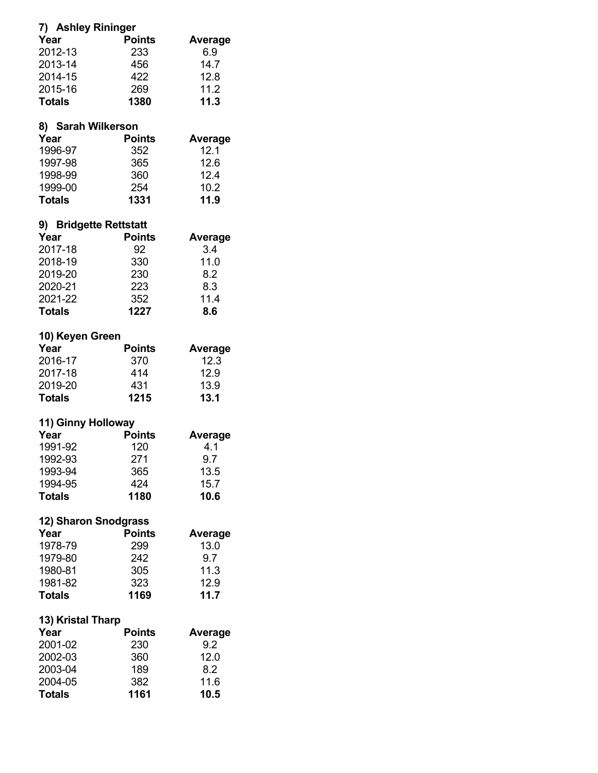| 7) Ashley Rininger     |               |                |
|------------------------|---------------|----------------|
| Year                   | <b>Points</b> | Average        |
| 2012-13                | 233           | 6.9            |
| 2013-14                | 456           | 14.7           |
| 2014-15                | 422           | 12.8           |
| 2015-16                | 269           | 11.2           |
|                        |               | 11.3           |
| <b>Totals</b>          | 1380          |                |
| 8) Sarah Wilkerson     |               |                |
| Year                   | <b>Points</b> | <b>Average</b> |
| 1996-97                | 352           | 12.1           |
| 1997-98                | 365           | 12.6           |
| 1998-99                | 360           | 12.4           |
| 1999-00                | 254           | 10.2           |
| Totals                 | 1331          | 11.9           |
|                        |               |                |
| 9) Bridgette Rettstatt |               |                |
| Year                   | Points        | Average        |
| 2017-18                | 92            | 3.4            |
| 2018-19                | 330           | 11.0           |
| 2019-20                | 230           | 8.2            |
| 2020-21                | 223           | 8.3            |
| 2021-22                | 352           | 11.4           |
| <b>Totals</b>          | 1227          | 8.6            |
| 10) Keyen Green        |               |                |
| Year                   | <b>Points</b> | Average        |
| 2016-17                | 370           | 12.3           |
| 2017-18                | 414           | 12.9           |
|                        |               |                |
| 2019-20                | 431           | 13.9           |
| <b>Totals</b>          | 1215          | 13.1           |
| 11) Ginny Holloway     |               |                |
| Year                   | <b>Points</b> | <b>Average</b> |
| 1991-92                | 120           | 4.1            |
| 1992-93                | 271           | 9.7            |
| 1993-94                | 365           | 13.5           |
| 1994-95                | 424           | 15.7           |
| <b>Totals</b>          | 1180          | 10.6           |
|                        |               |                |
| 12) Sharon Snodgrass   |               |                |
| Year                   | <b>Points</b> | Average        |
| 1978-79                | 299           | 13.0           |
| 1979-80                | 242           | 9.7            |
| 1980-81                | 305           | 11.3           |
| 1981-82                | 323           | 12.9           |
| <b>Totals</b>          | 1169          | 11.7           |
| 13) Kristal Tharp      |               |                |
| Year                   | Points        | Average        |
| 2001-02                |               | 9.2            |
|                        | 230           |                |
| 2002-03                | 360           | 12.0           |
| 2003-04                | 189           | 8.2            |
| 2004-05                | 382           | 11.6           |
| <b>Totals</b>          | 1161          | 10.5           |